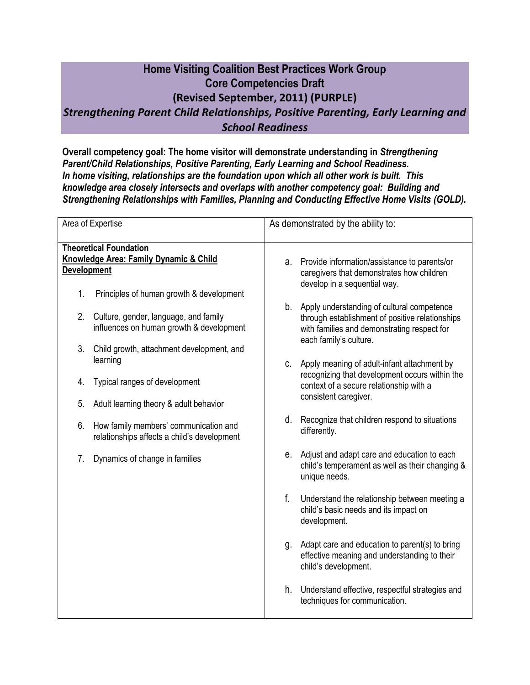## **Home Visiting Coalition Best Practices Work Group Core Competencies Draft (Revised September, 2011) (PURPLE)** *Strengthening Parent Child Relationships, Positive Parenting, Early Learning and School Readiness*

**Overall competency goal: The home visitor will demonstrate understanding in** *Strengthening Parent/Child Relationships, Positive Parenting, Early Learning and School Readiness. In home visiting, relationships are the foundation upon which all other work is built. This knowledge area closely intersects and overlaps with another competency goal: Building and Strengthening Relationships with Families, Planning and Conducting Effective Home Visits (GOLD).*

| Area of Expertise                                                                          | As demonstrated by the ability to:                                                                                                                                           |
|--------------------------------------------------------------------------------------------|------------------------------------------------------------------------------------------------------------------------------------------------------------------------------|
| <b>Theoretical Foundation</b>                                                              |                                                                                                                                                                              |
| Knowledge Area: Family Dynamic & Child                                                     | Provide information/assistance to parents/or<br>а.                                                                                                                           |
| <b>Development</b>                                                                         | caregivers that demonstrates how children<br>develop in a sequential way.                                                                                                    |
| Principles of human growth & development<br>1.                                             |                                                                                                                                                                              |
| 2.<br>Culture, gender, language, and family<br>influences on human growth & development    | b.<br>Apply understanding of cultural competence<br>through establishment of positive relationships<br>with families and demonstrating respect for<br>each family's culture. |
| 3.<br>Child growth, attachment development, and                                            |                                                                                                                                                                              |
| learning                                                                                   | Apply meaning of adult-infant attachment by<br>$\mathbf{C}$ .<br>recognizing that development occurs within the                                                              |
| Typical ranges of development<br>4.                                                        | context of a secure relationship with a<br>consistent caregiver.                                                                                                             |
| Adult learning theory & adult behavior<br>5.                                               |                                                                                                                                                                              |
| 6.<br>How family members' communication and<br>relationships affects a child's development | d.<br>Recognize that children respond to situations<br>differently.                                                                                                          |
| 7.<br>Dynamics of change in families                                                       | Adjust and adapt care and education to each<br>е.<br>child's temperament as well as their changing &<br>unique needs.                                                        |
|                                                                                            | f.<br>Understand the relationship between meeting a<br>child's basic needs and its impact on<br>development.                                                                 |
|                                                                                            | Adapt care and education to parent(s) to bring<br>g.<br>effective meaning and understanding to their<br>child's development.                                                 |
|                                                                                            | h.<br>Understand effective, respectful strategies and<br>techniques for communication.                                                                                       |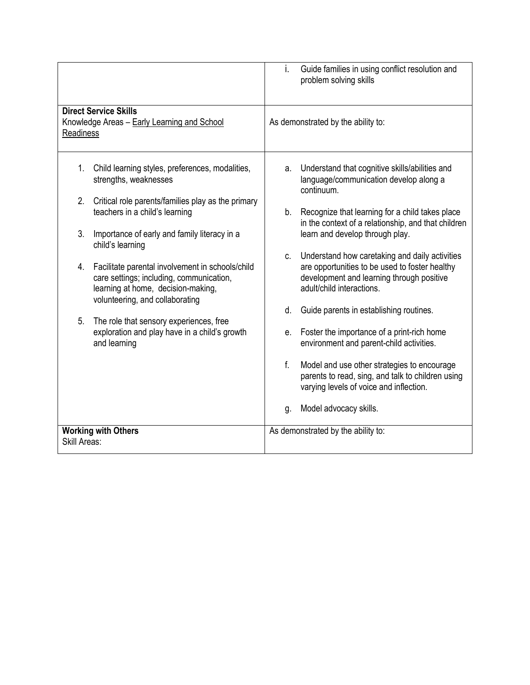|                                                                                                                                                                             | Guide families in using conflict resolution and<br>i.<br>problem solving skills                                                                                                  |
|-----------------------------------------------------------------------------------------------------------------------------------------------------------------------------|----------------------------------------------------------------------------------------------------------------------------------------------------------------------------------|
| <b>Direct Service Skills</b><br>Knowledge Areas - Early Learning and School<br>Readiness                                                                                    | As demonstrated by the ability to:                                                                                                                                               |
| 1.<br>Child learning styles, preferences, modalities,<br>strengths, weaknesses                                                                                              | Understand that cognitive skills/abilities and<br>а.<br>language/communication develop along a<br>continuum.                                                                     |
| 2.<br>Critical role parents/families play as the primary<br>teachers in a child's learning                                                                                  | b.<br>Recognize that learning for a child takes place<br>in the context of a relationship, and that children                                                                     |
| 3.<br>Importance of early and family literacy in a<br>child's learning                                                                                                      | learn and develop through play.                                                                                                                                                  |
| 4.<br>Facilitate parental involvement in schools/child<br>care settings; including, communication,<br>learning at home, decision-making,<br>volunteering, and collaborating | Understand how caretaking and daily activities<br>C.<br>are opportunities to be used to foster healthy<br>development and learning through positive<br>adult/child interactions. |
| The role that sensory experiences, free<br>5.                                                                                                                               | Guide parents in establishing routines.<br>d.                                                                                                                                    |
| exploration and play have in a child's growth<br>and learning                                                                                                               | Foster the importance of a print-rich home<br>e.<br>environment and parent-child activities.                                                                                     |
|                                                                                                                                                                             | f.<br>Model and use other strategies to encourage<br>parents to read, sing, and talk to children using<br>varying levels of voice and inflection.                                |
|                                                                                                                                                                             | Model advocacy skills.<br>g.                                                                                                                                                     |
| <b>Working with Others</b><br>Skill Areas:                                                                                                                                  | As demonstrated by the ability to:                                                                                                                                               |